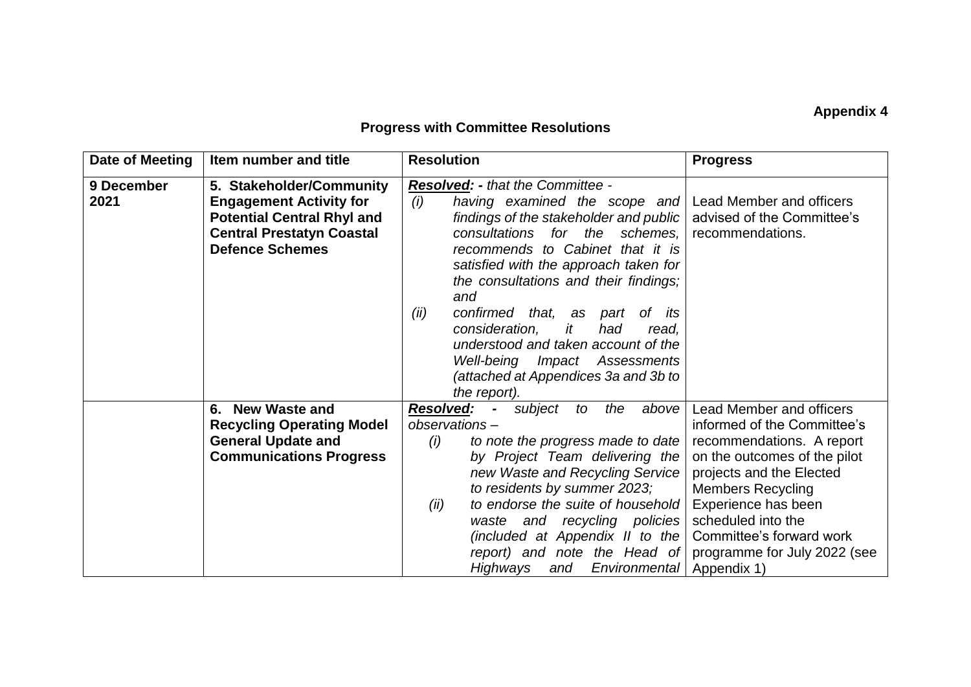## **Appendix 4**

## **Progress with Committee Resolutions**

| Date of Meeting | Item number and title             | <b>Resolution</b>                                             | <b>Progress</b>              |
|-----------------|-----------------------------------|---------------------------------------------------------------|------------------------------|
| 9 December      | 5. Stakeholder/Community          | <b>Resolved: - that the Committee -</b>                       |                              |
| 2021            | <b>Engagement Activity for</b>    | (i)<br>having examined the scope and Lead Member and officers |                              |
|                 | <b>Potential Central Rhyl and</b> | findings of the stakeholder and public                        | advised of the Committee's   |
|                 | <b>Central Prestatyn Coastal</b>  | consultations for the schemes,                                | recommendations.             |
|                 | <b>Defence Schemes</b>            | recommends to Cabinet that it is                              |                              |
|                 |                                   | satisfied with the approach taken for                         |                              |
|                 |                                   | the consultations and their findings;                         |                              |
|                 |                                   | and                                                           |                              |
|                 |                                   | (ii)<br>confirmed that, as part<br>of its                     |                              |
|                 |                                   | consideration,<br>it<br>had<br>read.                          |                              |
|                 |                                   | understood and taken account of the                           |                              |
|                 |                                   | Well-being Impact Assessments                                 |                              |
|                 |                                   | (attached at Appendices 3a and 3b to                          |                              |
|                 |                                   | the report).                                                  |                              |
|                 | 6. New Waste and                  | <b>Resolved:</b> - subject<br>above<br>to the                 | Lead Member and officers     |
|                 | <b>Recycling Operating Model</b>  | observations-                                                 | informed of the Committee's  |
|                 | <b>General Update and</b>         | to note the progress made to date<br>(i)                      | recommendations. A report    |
|                 | <b>Communications Progress</b>    | by Project Team delivering the                                | on the outcomes of the pilot |
|                 |                                   | new Waste and Recycling Service                               | projects and the Elected     |
|                 |                                   | to residents by summer 2023;                                  | <b>Members Recycling</b>     |
|                 |                                   | to endorse the suite of household<br>(ii)                     | Experience has been          |
|                 |                                   | waste and recycling policies                                  | scheduled into the           |
|                 |                                   | (included at Appendix II to the                               | Committee's forward work     |
|                 |                                   | report) and note the Head of                                  | programme for July 2022 (see |
|                 |                                   | Highways<br>and Environmental                                 | Appendix 1)                  |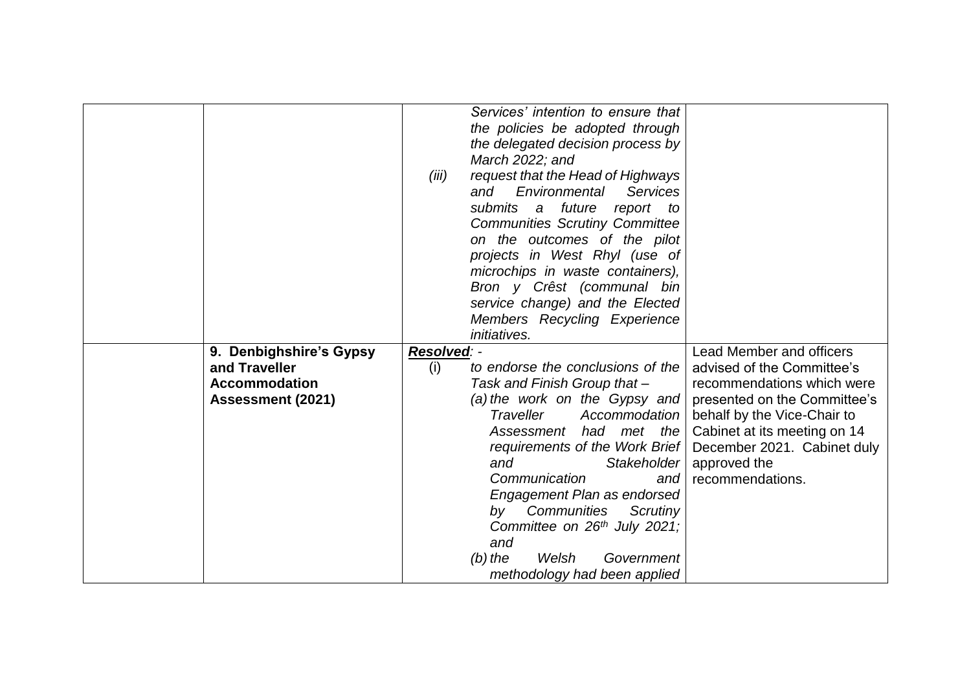|                          |             | Services' intention to ensure that    |                                 |
|--------------------------|-------------|---------------------------------------|---------------------------------|
|                          |             | the policies be adopted through       |                                 |
|                          |             | the delegated decision process by     |                                 |
|                          |             | March 2022; and                       |                                 |
|                          | (iii)       | request that the Head of Highways     |                                 |
|                          |             | Environmental<br>and<br>Services      |                                 |
|                          |             | submits a future<br>report to         |                                 |
|                          |             | <b>Communities Scrutiny Committee</b> |                                 |
|                          |             | on the outcomes of the pilot          |                                 |
|                          |             | projects in West Rhyl (use of         |                                 |
|                          |             | microchips in waste containers),      |                                 |
|                          |             | Bron y Crêst (communal bin            |                                 |
|                          |             | service change) and the Elected       |                                 |
|                          |             | Members Recycling Experience          |                                 |
|                          |             | <i>initiatives.</i>                   |                                 |
| 9. Denbighshire's Gypsy  | Resolved: - |                                       | <b>Lead Member and officers</b> |
| and Traveller            | (i)         | to endorse the conclusions of the     | advised of the Committee's      |
| <b>Accommodation</b>     |             | Task and Finish Group that -          | recommendations which were      |
| <b>Assessment (2021)</b> |             | (a) the work on the Gypsy and         | presented on the Committee's    |
|                          |             | Traveller<br>Accommodation            | behalf by the Vice-Chair to     |
|                          |             | Assessment had met the                | Cabinet at its meeting on 14    |
|                          |             | requirements of the Work Brief        | December 2021. Cabinet duly     |
|                          |             | Stakeholder<br>and                    | approved the                    |
|                          |             | Communication<br>and                  | recommendations.                |
|                          |             | Engagement Plan as endorsed           |                                 |
|                          |             | by Communities<br>Scrutiny            |                                 |
|                          |             | Committee on 26th July 2021;          |                                 |
|                          |             | and                                   |                                 |
|                          |             | $(b)$ the<br>Welsh<br>Government      |                                 |
|                          |             | methodology had been applied          |                                 |